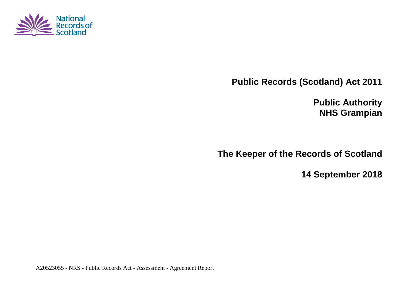

**Public Records (Scotland) Act 2011**

**Public Authority NHS Grampian**

**The Keeper of the Records of Scotland**

**14 September 2018**

A20523055 - NRS - Public Records Act - Assessment - Agreement Report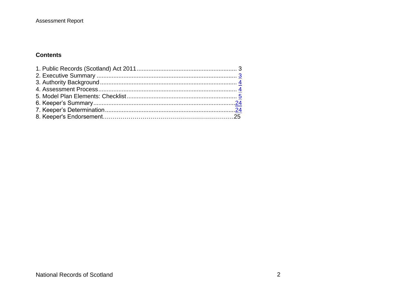### Assessment Report

### **Contents**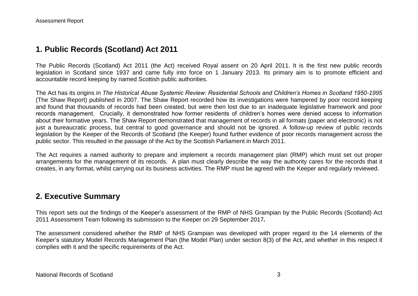# **1. Public Records (Scotland) Act 2011**

The Public Records (Scotland) Act 2011 (the Act) received Royal assent on 20 April 2011. It is the first new public records legislation in Scotland since 1937 and came fully into force on 1 January 2013. Its primary aim is to promote efficient and accountable record keeping by named Scottish public authorities.

The Act has its origins in *The Historical Abuse Systemic Review: Residential Schools and Children's Homes in Scotland 1950-1995* (The Shaw Report) published in 2007. The Shaw Report recorded how its investigations were hampered by poor record keeping and found that thousands of records had been created, but were then lost due to an inadequate legislative framework and poor records management. Crucially, it demonstrated how former residents of children's homes were denied access to information about their formative years. The Shaw Report demonstrated that management of records in all formats (paper and electronic) is not just a bureaucratic process, but central to good governance and should not be ignored. A follow-up review of public records legislation by the Keeper of the Records of Scotland (the Keeper) found further evidence of poor records management across the public sector. This resulted in the passage of the Act by the Scottish Parliament in March 2011.

The Act requires a named authority to prepare and implement a records management plan (RMP) which must set out proper arrangements for the management of its records. A plan must clearly describe the way the authority cares for the records that it creates, in any format, whilst carrying out its business activities. The RMP must be agreed with the Keeper and regularly reviewed.

## **2. Executive Summary**

This report sets out the findings of the Keeper's assessment of the RMP of NHS Grampian by the Public Records (Scotland) Act 2011 Assessment Team following its submission to the Keeper on 29 September 2017*.*

The assessment considered whether the RMP of NHS Grampian was developed with proper regard to the 14 elements of the Keeper's statutory Model Records Management Plan (the Model Plan) under section 8(3) of the Act, and whether in this respect it complies with it and the specific requirements of the Act.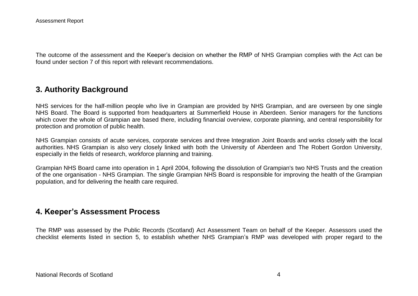The outcome of the assessment and the Keeper's decision on whether the RMP of NHS Grampian complies with the Act can be found under section 7 of this report with relevant recommendations.

# **3. Authority Background**

NHS services for the half-million people who live in Grampian are provided by NHS Grampian, and are overseen by one single NHS Board. The Board is supported from headquarters at Summerfield House in Aberdeen. Senior managers for the functions which cover the whole of Grampian are based there, including financial overview, corporate planning, and central responsibility for protection and promotion of public health.

NHS Grampian consists of acute services, corporate services and three Integration Joint Boards and works closely with the local authorities. NHS Grampian is also very closely linked with both the University of Aberdeen and The Robert Gordon University, especially in the fields of research, workforce planning and training.

Grampian NHS Board came into operation in 1 April 2004, following the dissolution of Grampian's two NHS Trusts and the creation of the one organisation - NHS Grampian. The single Grampian NHS Board is responsible for improving the health of the Grampian population, and for delivering the health care required.

## **4. Keeper's Assessment Process**

The RMP was assessed by the Public Records (Scotland) Act Assessment Team on behalf of the Keeper. Assessors used the checklist elements listed in section 5, to establish whether NHS Grampian's RMP was developed with proper regard to the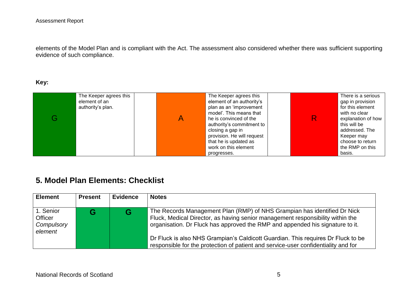elements of the Model Plan and is compliant with the Act. The assessment also considered whether there was sufficient supporting evidence of such compliance.

#### **Key:**

| The Keeper agrees this<br>element of an<br>authority's plan. | The Keeper agrees this<br>element of an authority's<br>plan as an 'improvement<br>model'. This means that<br>he is convinced of the<br>authority's commitment to<br>closing a gap in<br>provision. He will request<br>that he is updated as | R | There is a serious<br>gap in provision<br>for this element<br>with no clear<br>explanation of how<br>this will be<br>addressed. The<br>Keeper may<br>choose to return |
|--------------------------------------------------------------|---------------------------------------------------------------------------------------------------------------------------------------------------------------------------------------------------------------------------------------------|---|-----------------------------------------------------------------------------------------------------------------------------------------------------------------------|
|                                                              | work on this element<br>progresses.                                                                                                                                                                                                         |   | the RMP on this<br>basis.                                                                                                                                             |

# **5. Model Plan Elements: Checklist**

| <b>Element</b>                                       | <b>Present</b> | <b>Evidence</b> | <b>Notes</b>                                                                                                                                                                                                                                                                                                                                                                                                          |
|------------------------------------------------------|----------------|-----------------|-----------------------------------------------------------------------------------------------------------------------------------------------------------------------------------------------------------------------------------------------------------------------------------------------------------------------------------------------------------------------------------------------------------------------|
| 1. Senior<br><b>Officer</b><br>Compulsory<br>element |                |                 | The Records Management Plan (RMP) of NHS Grampian has identified Dr Nick<br>Fluck, Medical Director, as having senior management responsibility within the<br>organisation. Dr Fluck has approved the RMP and appended his signature to it.<br>Dr Fluck is also NHS Grampian's Caldicott Guardian. This requires Dr Fluck to be<br>responsible for the protection of patient and service-user confidentiality and for |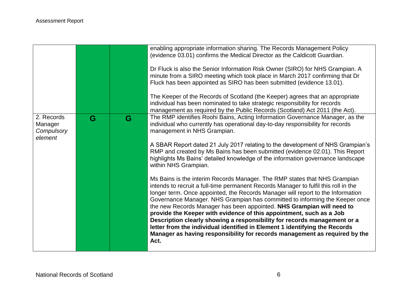|                                                |   |   | enabling appropriate information sharing. The Records Management Policy<br>(evidence 03.01) confirms the Medical Director as the Caldicott Guardian.<br>Dr Fluck is also the Senior Information Risk Owner (SIRO) for NHS Grampian. A<br>minute from a SIRO meeting which took place in March 2017 confirming that Dr<br>Fluck has been appointed as SIRO has been submitted (evidence 13.01).<br>The Keeper of the Records of Scotland (the Keeper) agrees that an appropriate                                                                                                                                                                                                                                                    |
|------------------------------------------------|---|---|------------------------------------------------------------------------------------------------------------------------------------------------------------------------------------------------------------------------------------------------------------------------------------------------------------------------------------------------------------------------------------------------------------------------------------------------------------------------------------------------------------------------------------------------------------------------------------------------------------------------------------------------------------------------------------------------------------------------------------|
|                                                |   |   | individual has been nominated to take strategic responsibility for records<br>management as required by the Public Records (Scotland) Act 2011 (the Act).                                                                                                                                                                                                                                                                                                                                                                                                                                                                                                                                                                          |
| 2. Records<br>Manager<br>Compulsory<br>element | G | G | The RMP identifies Roohi Bains, Acting Information Governance Manager, as the<br>individual who currently has operational day-to-day responsibility for records<br>management in NHS Grampian.                                                                                                                                                                                                                                                                                                                                                                                                                                                                                                                                     |
|                                                |   |   | A SBAR Report dated 21 July 2017 relating to the development of NHS Grampian's<br>RMP and created by Ms Bains has been submitted (evidence 02.01). This Report<br>highlights Ms Bains' detailed knowledge of the information governance landscape<br>within NHS Grampian.                                                                                                                                                                                                                                                                                                                                                                                                                                                          |
|                                                |   |   | Ms Bains is the interim Records Manager. The RMP states that NHS Grampian<br>intends to recruit a full-time permanent Records Manager to fulfil this roll in the<br>longer term. Once appointed, the Records Manager will report to the Information<br>Governance Manager. NHS Grampian has committed to informing the Keeper once<br>the new Records Manager has been appointed. NHS Grampian will need to<br>provide the Keeper with evidence of this appointment, such as a Job<br>Description clearly showing a responsibility for records management or a<br>letter from the individual identified in Element 1 identifying the Records<br>Manager as having responsibility for records management as required by the<br>Act. |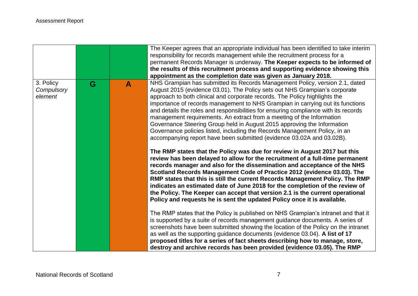|           |                       |              | The Keeper agrees that an appropriate individual has been identified to take interim                                                                                                                                                                                                                                                                                                                                                                                                                                                                               |
|-----------|-----------------------|--------------|--------------------------------------------------------------------------------------------------------------------------------------------------------------------------------------------------------------------------------------------------------------------------------------------------------------------------------------------------------------------------------------------------------------------------------------------------------------------------------------------------------------------------------------------------------------------|
|           |                       |              | responsibility for records management while the recruitment process for a                                                                                                                                                                                                                                                                                                                                                                                                                                                                                          |
|           |                       |              | permanent Records Manager is underway. The Keeper expects to be informed of                                                                                                                                                                                                                                                                                                                                                                                                                                                                                        |
|           |                       |              | the results of this recruitment process and supporting evidence showing this                                                                                                                                                                                                                                                                                                                                                                                                                                                                                       |
|           |                       |              | appointment as the completion date was given as January 2018.                                                                                                                                                                                                                                                                                                                                                                                                                                                                                                      |
| 3. Policy | G                     | $\mathbf{A}$ | NHS Grampian has submitted its Records Management Policy, version 2.1, dated                                                                                                                                                                                                                                                                                                                                                                                                                                                                                       |
|           |                       |              | August 2015 (evidence 03.01). The Policy sets out NHS Grampian's corporate                                                                                                                                                                                                                                                                                                                                                                                                                                                                                         |
|           |                       |              | approach to both clinical and corporate records. The Policy highlights the                                                                                                                                                                                                                                                                                                                                                                                                                                                                                         |
|           |                       |              | importance of records management to NHS Grampian in carrying out its functions                                                                                                                                                                                                                                                                                                                                                                                                                                                                                     |
|           |                       |              | and details the roles and responsibilities for ensuring compliance with its records                                                                                                                                                                                                                                                                                                                                                                                                                                                                                |
|           |                       |              | management requirements. An extract from a meeting of the Information                                                                                                                                                                                                                                                                                                                                                                                                                                                                                              |
|           |                       |              | Governance Steering Group held in August 2015 approving the Information                                                                                                                                                                                                                                                                                                                                                                                                                                                                                            |
|           |                       |              | Governance policies listed, including the Records Management Policy, in an                                                                                                                                                                                                                                                                                                                                                                                                                                                                                         |
|           |                       |              | accompanying report have been submitted (evidence 03.02A and 03.02B).                                                                                                                                                                                                                                                                                                                                                                                                                                                                                              |
|           |                       |              |                                                                                                                                                                                                                                                                                                                                                                                                                                                                                                                                                                    |
|           |                       |              | The RMP states that the Policy was due for review in August 2017 but this<br>review has been delayed to allow for the recruitment of a full-time permanent<br>records manager and also for the dissemination and acceptance of the NHS<br>Scotland Records Management Code of Practice 2012 (evidence 03.03). The<br>RMP states that this is still the current Records Management Policy. The RMP<br>indicates an estimated date of June 2018 for the completion of the review of<br>the Policy. The Keeper can accept that version 2.1 is the current operational |
|           |                       |              | Policy and requests he is sent the updated Policy once it is available.                                                                                                                                                                                                                                                                                                                                                                                                                                                                                            |
|           |                       |              | The RMP states that the Policy is published on NHS Grampian's intranet and that it<br>is supported by a suite of records management guidance documents. A series of<br>screenshots have been submitted showing the location of the Policy on the intranet<br>as well as the supporting guidance documents (evidence 03.04). A list of 17<br>proposed titles for a series of fact sheets describing how to manage, store,<br>destroy and archive records has been provided (evidence 03.05). The RMP                                                                |
|           | Compulsory<br>element |              |                                                                                                                                                                                                                                                                                                                                                                                                                                                                                                                                                                    |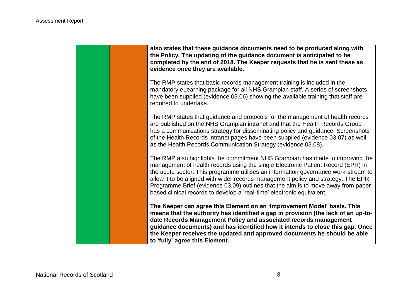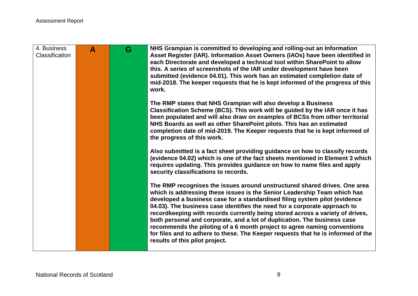| 4. Business<br><b>Classification</b> | A | G | NHS Grampian is committed to developing and rolling-out an Information<br>Asset Register (IAR). Information Asset Owners (IAOs) have been identified in<br>each Directorate and developed a technical tool within SharePoint to allow<br>this. A series of screenshots of the IAR under development have been<br>submitted (evidence 04.01). This work has an estimated completion date of<br>mid-2018. The keeper requests that he is kept informed of the progress of this<br>work.                                                                                                                                                                                           |
|--------------------------------------|---|---|---------------------------------------------------------------------------------------------------------------------------------------------------------------------------------------------------------------------------------------------------------------------------------------------------------------------------------------------------------------------------------------------------------------------------------------------------------------------------------------------------------------------------------------------------------------------------------------------------------------------------------------------------------------------------------|
|                                      |   |   | The RMP states that NHS Grampian will also develop a Business<br>Classification Scheme (BCS). This work will be guided by the IAR once it has<br>been populated and will also draw on examples of BCSs from other territorial<br>NHS Boards as well as other SharePoint pilots. This has an estimated<br>completion date of mid-2019. The Keeper requests that he is kept informed of<br>the progress of this work.                                                                                                                                                                                                                                                             |
|                                      |   |   | Also submitted is a fact sheet providing guidance on how to classify records<br>(evidence 04.02) which is one of the fact sheets mentioned in Element 3 which<br>requires updating. This provides guidance on how to name files and apply<br>security classifications to records.                                                                                                                                                                                                                                                                                                                                                                                               |
|                                      |   |   | The RMP recognises the issues around unstructured shared drives. One area<br>which is addressing these issues is the Senior Leadership Team which has<br>developed a business case for a standardised filing system pilot (evidence<br>04.03). The business case identifies the need for a corporate approach to<br>recordkeeping with records currently being stored across a variety of drives,<br>both personal and corporate, and a lot of duplication. The business case<br>recommends the piloting of a 6 month project to agree naming conventions<br>for files and to adhere to these. The Keeper requests that he is informed of the<br>results of this pilot project. |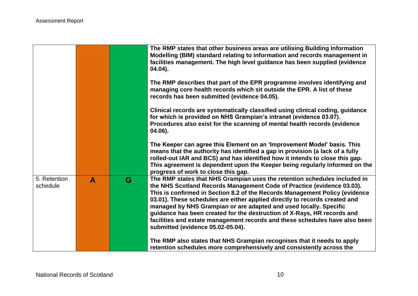|                          |   |   | The RMP states that other business areas are utilising Building Information<br>Modelling (BIM) standard relating to information and records management in<br>facilities management. The high level guidance has been supplied (evidence<br>04.04).                                                                                                                                                                                                                                                                                                                                   |
|--------------------------|---|---|--------------------------------------------------------------------------------------------------------------------------------------------------------------------------------------------------------------------------------------------------------------------------------------------------------------------------------------------------------------------------------------------------------------------------------------------------------------------------------------------------------------------------------------------------------------------------------------|
|                          |   |   | The RMP describes that part of the EPR programme involves identifying and<br>managing core health records which sit outside the EPR. A list of these<br>records has been submitted (evidence 04.05).                                                                                                                                                                                                                                                                                                                                                                                 |
|                          |   |   | Clinical records are systematically classified using clinical coding, guidance<br>for which is provided on NHS Grampian's intranet (evidence 03.07).<br>Procedures also exist for the scanning of mental health records (evidence<br>04.06).                                                                                                                                                                                                                                                                                                                                         |
|                          |   |   | The Keeper can agree this Element on an 'Improvement Model' basis. This<br>means that the authority has identified a gap in provision (a lack of a fully<br>rolled-out IAR and BCS) and has identified how it intends to close this gap.<br>This agreement is dependent upon the Keeper being regularly informed on the<br>progress of work to close this gap.                                                                                                                                                                                                                       |
| 5. Retention<br>schedule | A | G | The RMP states that NHS Grampian uses the retention schedules included in<br>the NHS Scotland Records Management Code of Practice (evidence 03.03).<br>This is confirmed in Section 8.2 of the Records Management Policy (evidence<br>03.01). These schedules are either applied directly to records created and<br>managed by NHS Grampian or are adapted and used locally. Specific<br>guidance has been created for the destruction of X-Rays, HR records and<br>facilities and estate management records and these schedules have also been<br>submitted (evidence 05.02-05.04). |
|                          |   |   | The RMP also states that NHS Grampian recognises that it needs to apply<br>retention schedules more comprehensively and consistently across the                                                                                                                                                                                                                                                                                                                                                                                                                                      |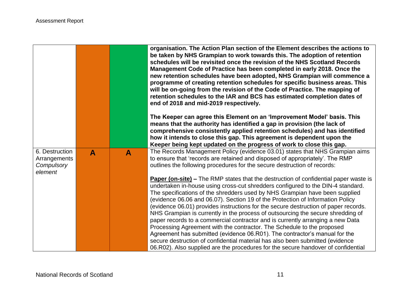|                |   |              | organisation. The Action Plan section of the Element describes the actions to<br>be taken by NHS Grampian to work towards this. The adoption of retention<br>schedules will be revisited once the revision of the NHS Scotland Records<br>Management Code of Practice has been completed in early 2018. Once the<br>new retention schedules have been adopted, NHS Grampian will commence a<br>programme of creating retention schedules for specific business areas. This<br>will be on-going from the revision of the Code of Practice. The mapping of<br>retention schedules to the IAR and BCS has estimated completion dates of<br>end of 2018 and mid-2019 respectively. |
|----------------|---|--------------|--------------------------------------------------------------------------------------------------------------------------------------------------------------------------------------------------------------------------------------------------------------------------------------------------------------------------------------------------------------------------------------------------------------------------------------------------------------------------------------------------------------------------------------------------------------------------------------------------------------------------------------------------------------------------------|
|                |   |              | The Keeper can agree this Element on an 'Improvement Model' basis. This<br>means that the authority has identified a gap in provision (the lack of<br>comprehensive consistently applied retention schedules) and has identified<br>how it intends to close this gap. This agreement is dependent upon the<br>Keeper being kept updated on the progress of work to close this gap.                                                                                                                                                                                                                                                                                             |
| 6. Destruction | A | $\mathbf{A}$ | The Records Management Policy (evidence 03.01) states that NHS Grampian aims                                                                                                                                                                                                                                                                                                                                                                                                                                                                                                                                                                                                   |
| Arrangements   |   |              | to ensure that 'records are retained and disposed of appropriately'. The RMP                                                                                                                                                                                                                                                                                                                                                                                                                                                                                                                                                                                                   |
| Compulsory     |   |              | outlines the following procedures for the secure destruction of records:                                                                                                                                                                                                                                                                                                                                                                                                                                                                                                                                                                                                       |
| element        |   |              |                                                                                                                                                                                                                                                                                                                                                                                                                                                                                                                                                                                                                                                                                |
|                |   |              | <b>Paper (on-site)</b> – The RMP states that the destruction of confidential paper waste is<br>undertaken in-house using cross-cut shredders configured to the DIN-4 standard.                                                                                                                                                                                                                                                                                                                                                                                                                                                                                                 |
|                |   |              | The specifications of the shredders used by NHS Grampian have been supplied                                                                                                                                                                                                                                                                                                                                                                                                                                                                                                                                                                                                    |
|                |   |              | (evidence 06.06 and 06.07). Section 19 of the Protection of Information Policy                                                                                                                                                                                                                                                                                                                                                                                                                                                                                                                                                                                                 |
|                |   |              | (evidence 06.01) provides instructions for the secure destruction of paper records.                                                                                                                                                                                                                                                                                                                                                                                                                                                                                                                                                                                            |
|                |   |              | NHS Grampian is currently in the process of outsourcing the secure shredding of                                                                                                                                                                                                                                                                                                                                                                                                                                                                                                                                                                                                |
|                |   |              | paper records to a commercial contractor and is currently arranging a new Data                                                                                                                                                                                                                                                                                                                                                                                                                                                                                                                                                                                                 |
|                |   |              | Processing Agreement with the contractor. The Schedule to the proposed                                                                                                                                                                                                                                                                                                                                                                                                                                                                                                                                                                                                         |
|                |   |              | Agreement has submitted (evidence 06.R01). The contractor's manual for the                                                                                                                                                                                                                                                                                                                                                                                                                                                                                                                                                                                                     |
|                |   |              | secure destruction of confidential material has also been submitted (evidence                                                                                                                                                                                                                                                                                                                                                                                                                                                                                                                                                                                                  |
|                |   |              | 06.R02). Also supplied are the procedures for the secure handover of confidential                                                                                                                                                                                                                                                                                                                                                                                                                                                                                                                                                                                              |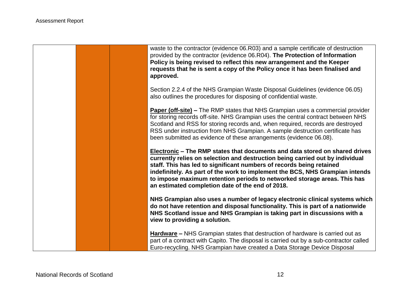![](_page_11_Picture_1.jpeg)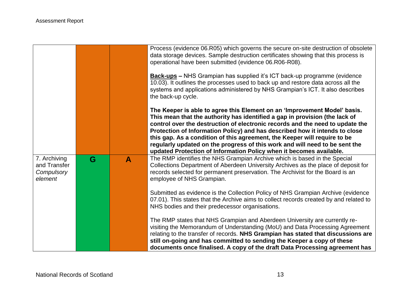|                                                       |   |   | Process (evidence 06.R05) which governs the secure on-site destruction of obsolete<br>data storage devices. Sample destruction certificates showing that this process is<br>operational have been submitted (evidence 06.R06-R08).<br><b>Back-ups</b> - NHS Grampian has supplied it's ICT back-up programme (evidence<br>10.03). It outlines the processes used to back up and restore data across all the<br>systems and applications administered by NHS Grampian's ICT. It also describes<br>the back-up cycle.                                         |
|-------------------------------------------------------|---|---|-------------------------------------------------------------------------------------------------------------------------------------------------------------------------------------------------------------------------------------------------------------------------------------------------------------------------------------------------------------------------------------------------------------------------------------------------------------------------------------------------------------------------------------------------------------|
|                                                       |   |   | The Keeper is able to agree this Element on an 'Improvement Model' basis.<br>This mean that the authority has identified a gap in provision (the lack of<br>control over the destruction of electronic records and the need to update the<br>Protection of Information Policy) and has described how it intends to close<br>this gap. As a condition of this agreement, the Keeper will require to be<br>regularly updated on the progress of this work and will need to be sent the<br>updated Protection of Information Policy when it becomes available. |
| 7. Archiving<br>and Transfer<br>Compulsory<br>element | G | A | The RMP identifies the NHS Grampian Archive which is based in the Special<br>Collections Department of Aberdeen University Archives as the place of deposit for<br>records selected for permanent preservation. The Archivist for the Board is an<br>employee of NHS Grampian.                                                                                                                                                                                                                                                                              |
|                                                       |   |   | Submitted as evidence is the Collection Policy of NHS Grampian Archive (evidence<br>07.01). This states that the Archive aims to collect records created by and related to<br>NHS bodies and their predecessor organisations.                                                                                                                                                                                                                                                                                                                               |
|                                                       |   |   | The RMP states that NHS Grampian and Aberdeen University are currently re-<br>visiting the Memorandum of Understanding (MoU) and Data Processing Agreement<br>relating to the transfer of records. NHS Grampian has stated that discussions are<br>still on-going and has committed to sending the Keeper a copy of these<br>documents once finalised. A copy of the draft Data Processing agreement has                                                                                                                                                    |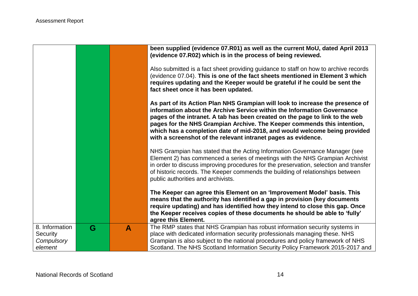|                                                     |   |   | been supplied (evidence 07.R01) as well as the current MoU, dated April 2013<br>(evidence 07.R02) which is in the process of being reviewed.<br>Also submitted is a fact sheet providing guidance to staff on how to archive records<br>(evidence 07.04). This is one of the fact sheets mentioned in Element 3 which<br>requires updating and the Keeper would be grateful if he could be sent the<br>fact sheet once it has been updated.<br>As part of its Action Plan NHS Grampian will look to increase the presence of<br>information about the Archive Service within the Information Governance<br>pages of the intranet. A tab has been created on the page to link to the web<br>pages for the NHS Grampian Archive. The Keeper commends this intention,<br>which has a completion date of mid-2018, and would welcome being provided<br>with a screenshot of the relevant intranet pages as evidence.<br>NHS Grampian has stated that the Acting Information Governance Manager (see<br>Element 2) has commenced a series of meetings with the NHS Grampian Archivist<br>in order to discuss improving procedures for the preservation, selection and transfer<br>of historic records. The Keeper commends the building of relationships between<br>public authorities and archivists. |
|-----------------------------------------------------|---|---|---------------------------------------------------------------------------------------------------------------------------------------------------------------------------------------------------------------------------------------------------------------------------------------------------------------------------------------------------------------------------------------------------------------------------------------------------------------------------------------------------------------------------------------------------------------------------------------------------------------------------------------------------------------------------------------------------------------------------------------------------------------------------------------------------------------------------------------------------------------------------------------------------------------------------------------------------------------------------------------------------------------------------------------------------------------------------------------------------------------------------------------------------------------------------------------------------------------------------------------------------------------------------------------------------|
|                                                     |   |   | The Keeper can agree this Element on an 'Improvement Model' basis. This<br>means that the authority has identified a gap in provision (key documents<br>require updating) and has identified how they intend to close this gap. Once<br>the Keeper receives copies of these documents he should be able to 'fully'<br>agree this Element.                                                                                                                                                                                                                                                                                                                                                                                                                                                                                                                                                                                                                                                                                                                                                                                                                                                                                                                                                         |
| 8. Information<br>Security<br>Compulsory<br>element | G | A | The RMP states that NHS Grampian has robust information security systems in<br>place with dedicated information security professionals managing these. NHS<br>Grampian is also subject to the national procedures and policy framework of NHS<br>Scotland. The NHS Scotland Information Security Policy Framework 2015-2017 and                                                                                                                                                                                                                                                                                                                                                                                                                                                                                                                                                                                                                                                                                                                                                                                                                                                                                                                                                                   |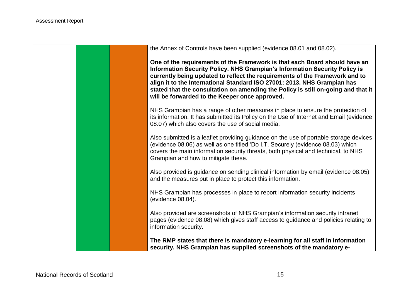![](_page_14_Picture_1.jpeg)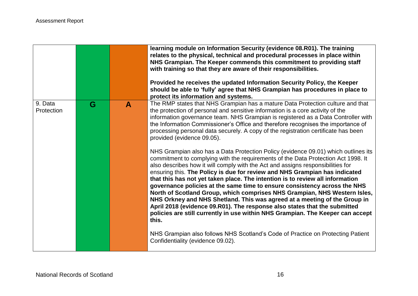|                       |   |   | learning module on Information Security (evidence 08.R01). The training<br>relates to the physical, technical and procedural processes in place within<br>NHS Grampian. The Keeper commends this commitment to providing staff<br>with training so that they are aware of their responsibilities.<br>Provided he receives the updated Information Security Policy, the Keeper<br>should be able to 'fully' agree that NHS Grampian has procedures in place to<br>protect its information and systems.                                                                                                                                                                                                                                                                                                                                    |
|-----------------------|---|---|------------------------------------------------------------------------------------------------------------------------------------------------------------------------------------------------------------------------------------------------------------------------------------------------------------------------------------------------------------------------------------------------------------------------------------------------------------------------------------------------------------------------------------------------------------------------------------------------------------------------------------------------------------------------------------------------------------------------------------------------------------------------------------------------------------------------------------------|
| 9. Data<br>Protection | G | A | The RMP states that NHS Grampian has a mature Data Protection culture and that<br>the protection of personal and sensitive information is a core activity of the<br>information governance team. NHS Grampian is registered as a Data Controller with<br>the Information Commissioner's Office and therefore recognises the importance of<br>processing personal data securely. A copy of the registration certificate has been<br>provided (evidence 09.05).                                                                                                                                                                                                                                                                                                                                                                            |
|                       |   |   | NHS Grampian also has a Data Protection Policy (evidence 09.01) which outlines its<br>commitment to complying with the requirements of the Data Protection Act 1998. It<br>also describes how it will comply with the Act and assigns responsibilities for<br>ensuring this. The Policy is due for review and NHS Grampian has indicated<br>that this has not yet taken place. The intention is to review all information<br>governance policies at the same time to ensure consistency across the NHS<br>North of Scotland Group, which comprises NHS Grampian, NHS Western Isles,<br>NHS Orkney and NHS Shetland. This was agreed at a meeting of the Group in<br>April 2018 (evidence 09.R01). The response also states that the submitted<br>policies are still currently in use within NHS Grampian. The Keeper can accept<br>this. |
|                       |   |   | NHS Grampian also follows NHS Scotland's Code of Practice on Protecting Patient<br>Confidentiality (evidence 09.02).                                                                                                                                                                                                                                                                                                                                                                                                                                                                                                                                                                                                                                                                                                                     |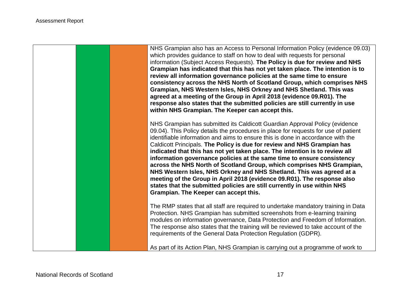![](_page_16_Picture_1.jpeg)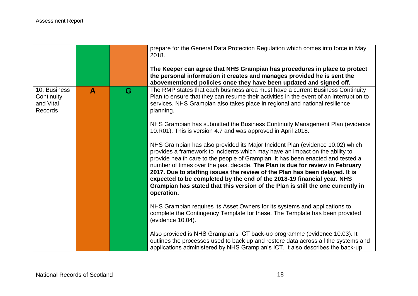|                                                    |   |   | prepare for the General Data Protection Regulation which comes into force in May<br>2018.<br>The Keeper can agree that NHS Grampian has procedures in place to protect<br>the personal information it creates and manages provided he is sent the                                                                                                                                                                                                                                                                                                                                          |
|----------------------------------------------------|---|---|--------------------------------------------------------------------------------------------------------------------------------------------------------------------------------------------------------------------------------------------------------------------------------------------------------------------------------------------------------------------------------------------------------------------------------------------------------------------------------------------------------------------------------------------------------------------------------------------|
|                                                    |   |   | abovementioned policies once they have been updated and signed off.                                                                                                                                                                                                                                                                                                                                                                                                                                                                                                                        |
| 10. Business<br>Continuity<br>and Vital<br>Records | A | G | The RMP states that each business area must have a current Business Continuity<br>Plan to ensure that they can resume their activities in the event of an interruption to<br>services. NHS Grampian also takes place in regional and national resilience<br>planning.                                                                                                                                                                                                                                                                                                                      |
|                                                    |   |   | NHS Grampian has submitted the Business Continuity Management Plan (evidence<br>10. R01). This is version 4.7 and was approved in April 2018.                                                                                                                                                                                                                                                                                                                                                                                                                                              |
|                                                    |   |   | NHS Grampian has also provided its Major Incident Plan (evidence 10.02) which<br>provides a framework to incidents which may have an impact on the ability to<br>provide health care to the people of Grampian. It has been enacted and tested a<br>number of times over the past decade. The Plan is due for review in February<br>2017. Due to staffing issues the review of the Plan has been delayed. It is<br>expected to be completed by the end of the 2018-19 financial year. NHS<br>Grampian has stated that this version of the Plan is still the one currently in<br>operation. |
|                                                    |   |   | NHS Grampian requires its Asset Owners for its systems and applications to<br>complete the Contingency Template for these. The Template has been provided<br>(evidence 10.04).                                                                                                                                                                                                                                                                                                                                                                                                             |
|                                                    |   |   | Also provided is NHS Grampian's ICT back-up programme (evidence 10.03). It<br>outlines the processes used to back up and restore data across all the systems and<br>applications administered by NHS Grampian's ICT. It also describes the back-up                                                                                                                                                                                                                                                                                                                                         |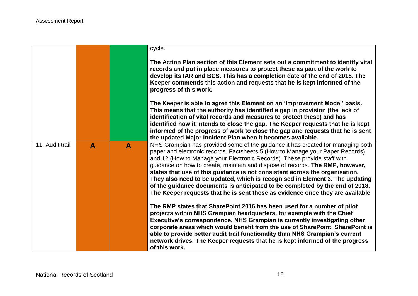|                 |                  |              | cycle.                                                                                                                                                                                                                                                                                                                                                                                                                                                                                                                                                                                                                                                                                                                      |
|-----------------|------------------|--------------|-----------------------------------------------------------------------------------------------------------------------------------------------------------------------------------------------------------------------------------------------------------------------------------------------------------------------------------------------------------------------------------------------------------------------------------------------------------------------------------------------------------------------------------------------------------------------------------------------------------------------------------------------------------------------------------------------------------------------------|
|                 |                  |              | The Action Plan section of this Element sets out a commitment to identify vital<br>records and put in place measures to protect these as part of the work to<br>develop its IAR and BCS. This has a completion date of the end of 2018. The<br>Keeper commends this action and requests that he is kept informed of the<br>progress of this work.                                                                                                                                                                                                                                                                                                                                                                           |
|                 |                  |              | The Keeper is able to agree this Element on an 'Improvement Model' basis.<br>This means that the authority has identified a gap in provision (the lack of<br>identification of vital records and measures to protect these) and has<br>identified how it intends to close the gap. The Keeper requests that he is kept<br>informed of the progress of work to close the gap and requests that he is sent                                                                                                                                                                                                                                                                                                                    |
| 11. Audit trail | $\blacktriangle$ | $\mathbf{A}$ | the updated Major Incident Plan when it becomes available.<br>NHS Grampian has provided some of the guidance it has created for managing both<br>paper and electronic records. Factsheets 5 (How to Manage your Paper Records)<br>and 12 (How to Manage your Electronic Records). These provide staff with<br>guidance on how to create, maintain and dispose of records. The RMP, however,<br>states that use of this guidance is not consistent across the organisation.<br>They also need to be updated, which is recognised in Element 3. The updating<br>of the guidance documents is anticipated to be completed by the end of 2018.<br>The Keeper requests that he is sent these as evidence once they are available |
|                 |                  |              | The RMP states that SharePoint 2016 has been used for a number of pilot<br>projects within NHS Grampian headquarters, for example with the Chief<br>Executive's correspondence. NHS Grampian is currently investigating other<br>corporate areas which would benefit from the use of SharePoint. SharePoint is<br>able to provide better audit trail functionality than NHS Grampian's current<br>network drives. The Keeper requests that he is kept informed of the progress<br>of this work.                                                                                                                                                                                                                             |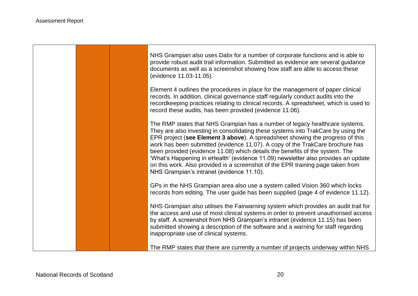- 17

|  | NHS Grampian also uses Datix for a number of corporate functions and is able to<br>provide robust audit trail information. Submitted as evidence are several guidance<br>documents as well as a screenshot showing how staff are able to access these<br>(evidence 11.03-11.05).                                                                                                                                                                                                                                                                                                                                                        |
|--|-----------------------------------------------------------------------------------------------------------------------------------------------------------------------------------------------------------------------------------------------------------------------------------------------------------------------------------------------------------------------------------------------------------------------------------------------------------------------------------------------------------------------------------------------------------------------------------------------------------------------------------------|
|  | Element 4 outlines the procedures in place for the management of paper clinical<br>records. In addition, clinical governance staff regularly conduct audits into the<br>recordkeeping practices relating to clinical records. A spreadsheet, which is used to<br>record these audits, has been provided (evidence 11.06).                                                                                                                                                                                                                                                                                                               |
|  | The RMP states that NHS Grampian has a number of legacy healthcare systems.<br>They are also investing in consolidating these systems into TrakCare by using the<br>EPR project (see Element 3 above). A spreadsheet showing the progress of this<br>work has been submitted (evidence 11.07). A copy of the TrakCare brochure has<br>been provided (evidence 11.08) which details the benefits of the system. The<br>'What's Happening in eHealth' (evidence 11.09) newsletter also provides an update<br>on this work. Also provided is a screenshot of the EPR training page taken from<br>NHS Grampian's intranet (evidence 11.10). |
|  | GPs in the NHS Grampian area also use a system called Vision 360 which locks<br>records from editing. The user guide has been supplied (page 4 of evidence 11.12).                                                                                                                                                                                                                                                                                                                                                                                                                                                                      |
|  | NHS Grampian also utilises the Fairwarning system which provides an audit trail for<br>the access and use of most clinical systems in order to prevent unauthorised access<br>by staff. A screenshot from NHS Grampian's intranet (evidence 11.15) has been<br>submitted showing a description of the software and a warning for staff regarding<br>inappropriate use of clinical systems.                                                                                                                                                                                                                                              |
|  | The RMP states that there are currently a number of projects underway within NHS                                                                                                                                                                                                                                                                                                                                                                                                                                                                                                                                                        |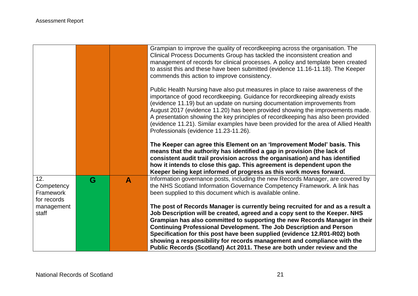|                                               |   |              | Grampian to improve the quality of recordkeeping across the organisation. The<br>Clinical Process Documents Group has tackled the inconsistent creation and<br>management of records for clinical processes. A policy and template been created<br>to assist this and these have been submitted (evidence 11.16-11.18). The Keeper<br>commends this action to improve consistency.                                                                                                                                                                          |
|-----------------------------------------------|---|--------------|-------------------------------------------------------------------------------------------------------------------------------------------------------------------------------------------------------------------------------------------------------------------------------------------------------------------------------------------------------------------------------------------------------------------------------------------------------------------------------------------------------------------------------------------------------------|
|                                               |   |              | Public Health Nursing have also put measures in place to raise awareness of the<br>importance of good recordkeeping. Guidance for recordkeeping already exists<br>(evidence 11.19) but an update on nursing documentation improvements from<br>August 2017 (evidence 11.20) has been provided showing the improvements made.<br>A presentation showing the key principles of recordkeeping has also been provided<br>(evidence 11.21). Similar examples have been provided for the area of Allied Health<br>Professionals (evidence 11.23-11.26).           |
|                                               |   |              | The Keeper can agree this Element on an 'Improvement Model' basis. This<br>means that the authority has identified a gap in provision (the lack of<br>consistent audit trail provision across the organisation) and has identified<br>how it intends to close this gap. This agreement is dependent upon the<br>Keeper being kept informed of progress as this work moves forward.                                                                                                                                                                          |
| 12.<br>Competency<br>Framework<br>for records | G | $\mathbf{A}$ | Information governance posts, including the new Records Manager, are covered by<br>the NHS Scotland Information Governance Competency Framework. A link has<br>been supplied to this document which is available online.                                                                                                                                                                                                                                                                                                                                    |
| management<br>staff                           |   |              | The post of Records Manager is currently being recruited for and as a result a<br>Job Description will be created, agreed and a copy sent to the Keeper. NHS<br>Grampian has also committed to supporting the new Records Manager in their<br><b>Continuing Professional Development. The Job Description and Person</b><br>Specification for this post have been supplied (evidence 12.R01-R02) both<br>showing a responsibility for records management and compliance with the<br>Public Records (Scotland) Act 2011. These are both under review and the |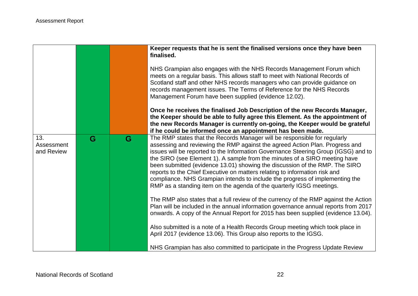|                                 |   |   | Keeper requests that he is sent the finalised versions once they have been<br>finalised.<br>NHS Grampian also engages with the NHS Records Management Forum which<br>meets on a regular basis. This allows staff to meet with National Records of<br>Scotland staff and other NHS records managers who can provide guidance on<br>records management issues. The Terms of Reference for the NHS Records<br>Management Forum have been supplied (evidence 12.02).<br>Once he receives the finalised Job Description of the new Records Manager,<br>the Keeper should be able to fully agree this Element. As the appointment of<br>the new Records Manager is currently on-going, the Keeper would be grateful                                                                                                                                                                                                                                                                                                                                                                                                                                                                                                               |
|---------------------------------|---|---|-----------------------------------------------------------------------------------------------------------------------------------------------------------------------------------------------------------------------------------------------------------------------------------------------------------------------------------------------------------------------------------------------------------------------------------------------------------------------------------------------------------------------------------------------------------------------------------------------------------------------------------------------------------------------------------------------------------------------------------------------------------------------------------------------------------------------------------------------------------------------------------------------------------------------------------------------------------------------------------------------------------------------------------------------------------------------------------------------------------------------------------------------------------------------------------------------------------------------------|
| 13.<br>Assessment<br>and Review | G | G | if he could be informed once an appointment has been made.<br>The RMP states that the Records Manager will be responsible for regularly<br>assessing and reviewing the RMP against the agreed Action Plan. Progress and<br>issues will be reported to the Information Governance Steering Group (IGSG) and to<br>the SIRO (see Element 1). A sample from the minutes of a SIRO meeting have<br>been submitted (evidence 13.01) showing the discussion of the RMP. The SIRO<br>reports to the Chief Executive on matters relating to information risk and<br>compliance. NHS Grampian intends to include the progress of implementing the<br>RMP as a standing item on the agenda of the quarterly IGSG meetings.<br>The RMP also states that a full review of the currency of the RMP against the Action<br>Plan will be included in the annual information governance annual reports from 2017<br>onwards. A copy of the Annual Report for 2015 has been supplied (evidence 13.04).<br>Also submitted is a note of a Health Records Group meeting which took place in<br>April 2017 (evidence 13.06). This Group also reports to the IGSG.<br>NHS Grampian has also committed to participate in the Progress Update Review |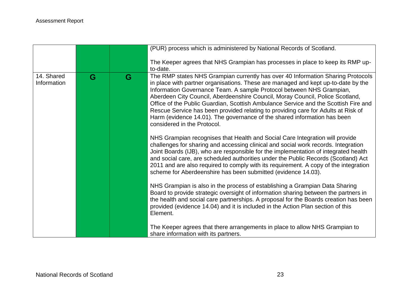|                           |   |   | (PUR) process which is administered by National Records of Scotland.                                                                                                                                                                                                                                                                                                                                                                                                                                                                                                                                                 |
|---------------------------|---|---|----------------------------------------------------------------------------------------------------------------------------------------------------------------------------------------------------------------------------------------------------------------------------------------------------------------------------------------------------------------------------------------------------------------------------------------------------------------------------------------------------------------------------------------------------------------------------------------------------------------------|
|                           |   |   | The Keeper agrees that NHS Grampian has processes in place to keep its RMP up-<br>to-date.                                                                                                                                                                                                                                                                                                                                                                                                                                                                                                                           |
| 14. Shared<br>Information | G | G | The RMP states NHS Grampian currently has over 40 Information Sharing Protocols<br>in place with partner organisations. These are managed and kept up-to-date by the<br>Information Governance Team. A sample Protocol between NHS Grampian,<br>Aberdeen City Council, Aberdeenshire Council, Moray Council, Police Scotland,<br>Office of the Public Guardian, Scottish Ambulance Service and the Scottish Fire and<br>Rescue Service has been provided relating to providing care for Adults at Risk of<br>Harm (evidence 14.01). The governance of the shared information has been<br>considered in the Protocol. |
|                           |   |   | NHS Grampian recognises that Health and Social Care Integration will provide<br>challenges for sharing and accessing clinical and social work records. Integration<br>Joint Boards (IJB), who are responsible for the implementation of integrated health<br>and social care, are scheduled authorities under the Public Records (Scotland) Act<br>2011 and are also required to comply with its requirement. A copy of the integration<br>scheme for Aberdeenshire has been submitted (evidence 14.03).                                                                                                             |
|                           |   |   | NHS Grampian is also in the process of establishing a Grampian Data Sharing<br>Board to provide strategic oversight of information sharing between the partners in<br>the health and social care partnerships. A proposal for the Boards creation has been<br>provided (evidence 14.04) and it is included in the Action Plan section of this<br>Element.                                                                                                                                                                                                                                                            |
|                           |   |   | The Keeper agrees that there arrangements in place to allow NHS Grampian to<br>share information with its partners.                                                                                                                                                                                                                                                                                                                                                                                                                                                                                                  |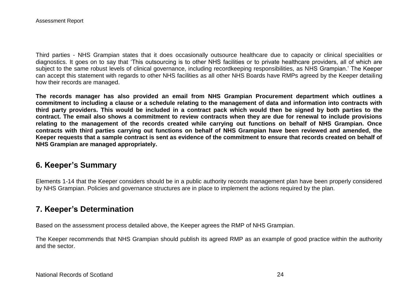Third parties - NHS Grampian states that it does occasionally outsource healthcare due to capacity or clinical specialities or diagnostics. It goes on to say that 'This outsourcing is to other NHS facilities or to private healthcare providers, all of which are subject to the same robust levels of clinical governance, including recordkeeping responsibilities, as NHS Grampian.' The Keeper can accept this statement with regards to other NHS facilities as all other NHS Boards have RMPs agreed by the Keeper detailing how their records are managed.

**The records manager has also provided an email from NHS Grampian Procurement department which outlines a commitment to including a clause or a schedule relating to the management of data and information into contracts with third party providers. This would be included in a contract pack which would then be signed by both parties to the contract. The email also shows a commitment to review contracts when they are due for renewal to include provisions relating to the management of the records created while carrying out functions on behalf of NHS Grampian. Once contracts with third parties carrying out functions on behalf of NHS Grampian have been reviewed and amended, the Keeper requests that a sample contract is sent as evidence of the commitment to ensure that records created on behalf of NHS Grampian are managed appropriately.**

## **6. Keeper's Summary**

Elements 1-14 that the Keeper considers should be in a public authority records management plan have been properly considered by NHS Grampian. Policies and governance structures are in place to implement the actions required by the plan.

# **7. Keeper's Determination**

Based on the assessment process detailed above, the Keeper agrees the RMP of NHS Grampian.

The Keeper recommends that NHS Grampian should publish its agreed RMP as an example of good practice within the authority and the sector.